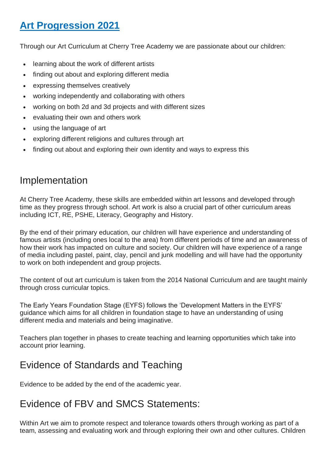## **Art [Progression](https://www.cherrytreeacademy.org.uk/userfiles/files/documents/daebdf7a60d76798923aa8086b5b035a.pdf) 2021**

Through our Art Curriculum at Cherry Tree Academy we are passionate about our children:

- learning about the work of different artists
- finding out about and exploring different media
- expressing themselves creatively
- working independently and collaborating with others
- working on both 2d and 3d projects and with different sizes
- evaluating their own and others work
- using the language of art
- exploring different religions and cultures through art
- finding out about and exploring their own identity and ways to express this

## Implementation

At Cherry Tree Academy, these skills are embedded within art lessons and developed through time as they progress through school. Art work is also a crucial part of other curriculum areas including ICT, RE, PSHE, Literacy, Geography and History.

By the end of their primary education, our children will have experience and understanding of famous artists (including ones local to the area) from different periods of time and an awareness of how their work has impacted on culture and society. Our children will have experience of a range of media including pastel, paint, clay, pencil and junk modelling and will have had the opportunity to work on both independent and group projects.

The content of out art curriculum is taken from the 2014 National Curriculum and are taught mainly through cross curricular topics.

The Early Years Foundation Stage (EYFS) follows the 'Development Matters in the EYFS' guidance which aims for all children in foundation stage to have an understanding of using different media and materials and being imaginative.

Teachers plan together in phases to create teaching and learning opportunities which take into account prior learning.

## Evidence of Standards and Teaching

Evidence to be added by the end of the academic year.

## Evidence of FBV and SMCS Statements:

Within Art we aim to promote respect and tolerance towards others through working as part of a team, assessing and evaluating work and through exploring their own and other cultures. Children